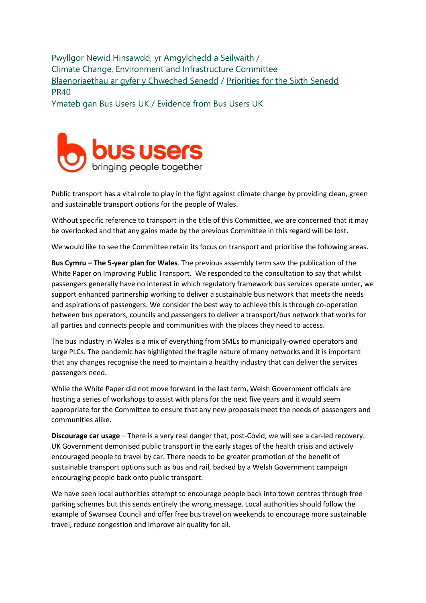Pwyllgor Newid Hinsawdd, yr Amgylchedd a Seilwaith / Climate Change, Environment and Infrastructure Committee [Blaenoriaethau ar gyfer y Chweched Senedd](https://busnes.senedd.cymru/mgConsultationDisplay.aspx?id=427&RPID=1026452002&cp=yes) / Priorities [for the Sixth Senedd](https://business.senedd.wales/mgConsultationDisplay.aspx?id=427&RPID=1026452002&cp=yes) PR40

Ymateb gan Bus Users UK / Evidence from Bus Users UK



Public transport has a vital role to play in the fight against climate change by providing clean, green and sustainable transport options for the people of Wales.

Without specific reference to transport in the title of this Committee, we are concerned that it may be overlooked and that any gains made by the previous Committee in this regard will be lost.

We would like to see the Committee retain its focus on transport and prioritise the following areas.

**Bus Cymru – The 5-year plan for Wales**. The previous assembly term saw the publication of the White Paper on Improving Public Transport. We responded to the consultation to say that whilst passengers generally have no interest in which regulatory framework bus services operate under, we support enhanced partnership working to deliver a sustainable bus network that meets the needs and aspirations of passengers. We consider the best way to achieve this is through co-operation between bus operators, councils and passengers to deliver a transport/bus network that works for all parties and connects people and communities with the places they need to access.

The bus industry in Wales is a mix of everything from SMEs to municipally-owned operators and large PLCs. The pandemic has highlighted the fragile nature of many networks and it is important that any changes recognise the need to maintain a healthy industry that can deliver the services passengers need.

While the White Paper did not move forward in the last term, Welsh Government officials are hosting a series of workshops to assist with plans for the next five years and it would seem appropriate for the Committee to ensure that any new proposals meet the needs of passengers and communities alike.

**Discourage car usage** – There is a very real danger that, post-Covid, we will see a car-led recovery. UK Government demonised public transport in the early stages of the health crisis and actively encouraged people to travel by car. There needs to be greater promotion of the benefit of sustainable transport options such as bus and rail, backed by a Welsh Government campaign encouraging people back onto public transport.

We have seen local authorities attempt to encourage people back into town centres through free parking schemes but this sends entirely the wrong message. Local authorities should follow the example of Swansea Council and offer free bus travel on weekends to encourage more sustainable travel, reduce congestion and improve air quality for all.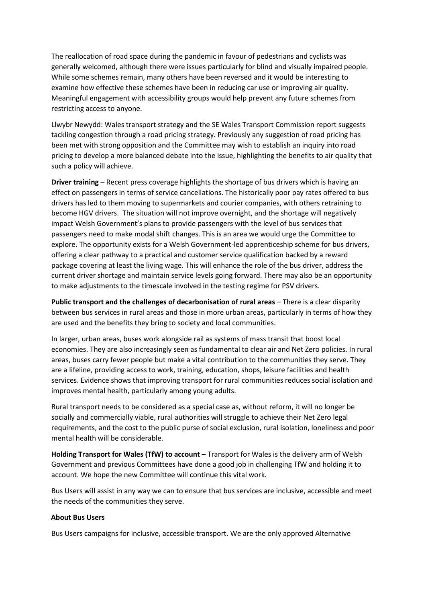The reallocation of road space during the pandemic in favour of pedestrians and cyclists was generally welcomed, although there were issues particularly for blind and visually impaired people. While some schemes remain, many others have been reversed and it would be interesting to examine how effective these schemes have been in reducing car use or improving air quality. Meaningful engagement with accessibility groups would help prevent any future schemes from restricting access to anyone.

Llwybr Newydd: Wales transport strategy and the SE Wales Transport Commission report suggests tackling congestion through a road pricing strategy. Previously any suggestion of road pricing has been met with strong opposition and the Committee may wish to establish an inquiry into road pricing to develop a more balanced debate into the issue, highlighting the benefits to air quality that such a policy will achieve.

**Driver training** – Recent press coverage highlights the shortage of bus drivers which is having an effect on passengers in terms of service cancellations. The historically poor pay rates offered to bus drivers has led to them moving to supermarkets and courier companies, with others retraining to become HGV drivers. The situation will not improve overnight, and the shortage will negatively impact Welsh Government's plans to provide passengers with the level of bus services that passengers need to make modal shift changes. This is an area we would urge the Committee to explore. The opportunity exists for a Welsh Government-led apprenticeship scheme for bus drivers, offering a clear pathway to a practical and customer service qualification backed by a reward package covering at least the living wage. This will enhance the role of the bus driver, address the current driver shortage and maintain service levels going forward. There may also be an opportunity to make adjustments to the timescale involved in the testing regime for PSV drivers.

**Public transport and the challenges of decarbonisation of rural areas** – There is a clear disparity between bus services in rural areas and those in more urban areas, particularly in terms of how they are used and the benefits they bring to society and local communities.

In larger, urban areas, buses work alongside rail as systems of mass transit that boost local economies. They are also increasingly seen as fundamental to clear air and Net Zero policies. In rural areas, buses carry fewer people but make a vital contribution to the communities they serve. They are a lifeline, providing access to work, training, education, shops, leisure facilities and health services. Evidence shows that improving transport for rural communities reduces social isolation and improves mental health, particularly among young adults.

Rural transport needs to be considered as a special case as, without reform, it will no longer be socially and commercially viable, rural authorities will struggle to achieve their Net Zero legal requirements, and the cost to the public purse of social exclusion, rural isolation, loneliness and poor mental health will be considerable.

**Holding Transport for Wales (TfW) to account** – Transport for Wales is the delivery arm of Welsh Government and previous Committees have done a good job in challenging TfW and holding it to account. We hope the new Committee will continue this vital work.

Bus Users will assist in any way we can to ensure that bus services are inclusive, accessible and meet the needs of the communities they serve.

## **About Bus Users**

Bus Users campaigns for inclusive, accessible transport. We are the only approved Alternative